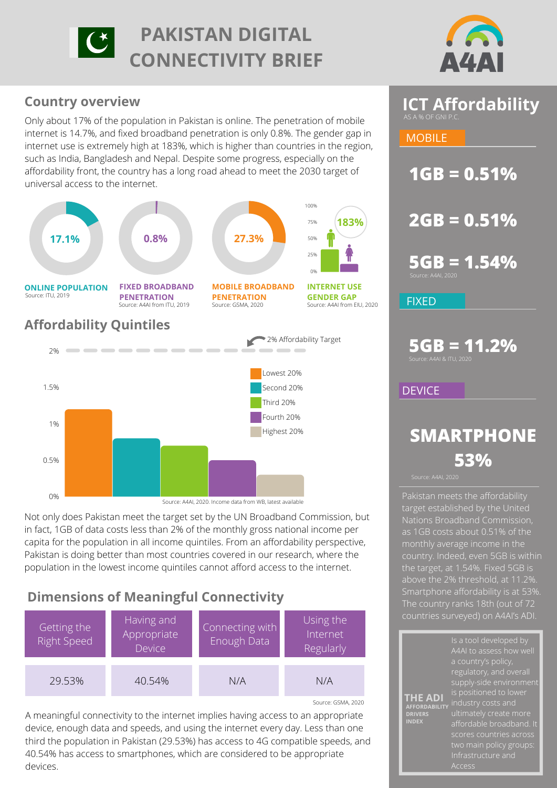



# **Country overview**

Only about 17% of the population in Pakistan is online. The penetration of mobile internet is 14.7%, and fixed broadband penetration is only 0.8%. The gender gap in internet use is extremely high at 183%, which is higher than countries in the region, such as India, Bangladesh and Nepal. Despite some progress, especially on the affordability front, the country has a long road ahead to meet the 2030 target of universal access to the internet.



Not only does Pakistan meet the target set by the UN Broadband Commission, but in fact, 1GB of data costs less than 2% of the monthly gross national income per capita for the population in all income quintiles. From an affordability perspective, Pakistan is doing better than most countries covered in our research, where the population in the lowest income quintiles cannot afford access to the internet.

# **Dimensions of Meaningful Connectivity**



A meaningful connectivity to the internet implies having access to an appropriate device, enough data and speeds, and using the internet every day. Less than one third the population in Pakistan (29.53%) has access to 4G compatible speeds, and 40.54% has access to smartphones, which are considered to be appropriate devices.



**MOBILE** 

**1GB = 0.51%**

**2GB = 0.51%**

**5GB = 1.54%**

FIXED

**5GB = 11.2%**

**DEVICE** 

# **SMARTPHONE 53%**

**DRIVERS INDEX**

Pakistan meets the affordability target established by the United [Nations Broadband Commission](https://www.itu.int/en/mediacentre/Pages/2018-PR01.aspx), as 1GB costs about 0.51% of the monthly average income in the country. Indeed, even 5GB is within above the 2% threshold, at 11.2%. [Smartphone affordability is at 53%](https://a4ai.org/research/from-luxury-to-lifeline-reducing-the-cost-of-mobile-devices-to-reach-universal-internet-access/). countries surveyed) on A4AI's ADI.

**THE ADI** A4AI to assess how well regulatory, and overall industry costs and Infrastructure and **AFFORDABILITY**